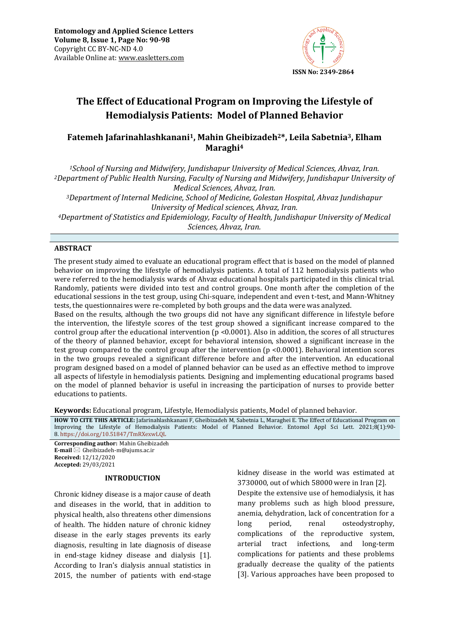

# **The Effect of Educational Program on Improving the Lifestyle of Hemodialysis Patients: Model of Planned Behavior**

## **Fatemeh Jafarinahlashkanani1, Mahin Gheibizadeh2\*, Leila Sabetnia3, Elham Maraghi<sup>4</sup>**

*<sup>1</sup>School of Nursing and Midwifery, Jundishapur University of Medical Sciences, Ahvaz, Iran. <sup>2</sup>Department of Public Health Nursing, Faculty of Nursing and Midwifery, Jundishapur University of Medical Sciences, Ahvaz, Iran. <sup>3</sup>Department of Internal Medicine, School of Medicine, Golestan Hospital, Ahvaz Jundishapur University of Medical sciences, Ahvaz, Iran. <sup>4</sup>Department of Statistics and Epidemiology, Faculty of Health, Jundishapur University of Medical Sciences, Ahvaz, Iran.*

### **ABSTRACT**

The present study aimed to evaluate an educational program effect that is based on the model of planned behavior on improving the lifestyle of hemodialysis patients. A total of 112 hemodialysis patients who were referred to the hemodialysis wards of Ahvaz educational hospitals participated in this clinical trial. Randomly, patients were divided into test and control groups. One month after the completion of the educational sessions in the test group, using Chi-square, independent and even t-test, and Mann-Whitney tests, the questionnaires were re-completed by both groups and the data were was analyzed.

Based on the results, although the two groups did not have any significant difference in lifestyle before the intervention, the lifestyle scores of the test group showed a significant increase compared to the control group after the educational intervention ( $p \le 0.0001$ ). Also in addition, the scores of all structures of the theory of planned behavior, except for behavioral intension, showed a significant increase in the test group compared to the control group after the intervention (p <0.0001). Behavioral intention scores in the two groups revealed a significant difference before and after the intervention. An educational program designed based on a model of planned behavior can be used as an effective method to improve all aspects of lifestyle in hemodialysis patients. Designing and implementing educational programs based on the model of planned behavior is useful in increasing the participation of nurses to provide better educations to patients.

**Keywords:** Educational program, Lifestyle, Hemodialysis patients, Model of planned behavior*.*

**HOW TO CITE THIS ARTICLE:** Jafarinahlashkanani F, Gheibizadeh M, Sabetnia L, Maraghei E. The Effect of Educational Program on Improving the Lifestyle of Hemodialysis Patients: Model of Planned Behavior. Entomol Appl Sci Lett. 2021;8(1):90- 8. <https://doi.org/10.51847/TmRXexwLQL>

**Corresponding author:** Mahin Gheibizadeh **E-mail** ⊠ Gheibizadeh-m@ajums.ac.ir **Received:** 12/12/2020 **Accepted:** 29/03/2021

#### **INTRODUCTION**

Chronic kidney disease is a major cause of death and diseases in the world, that in addition to physical health, also threatens other dimensions of health. The hidden nature of chronic kidney disease in the early stages prevents its early diagnosis, resulting in late diagnosis of disease in end-stage kidney disease and dialysis [1]. According to Iran's dialysis annual statistics in 2015, the number of patients with end-stage

kidney disease in the world was estimated at 3730000, out of which 58000 were in Iran [2]. Despite the extensive use of hemodialysis, it has many problems such as high blood pressure, anemia, dehydration, lack of concentration for a long period, renal osteodystrophy, complications of the reproductive system, arterial tract infections, and long-term complications for patients and these problems gradually decrease the quality of the patients [3]. Various approaches have been proposed to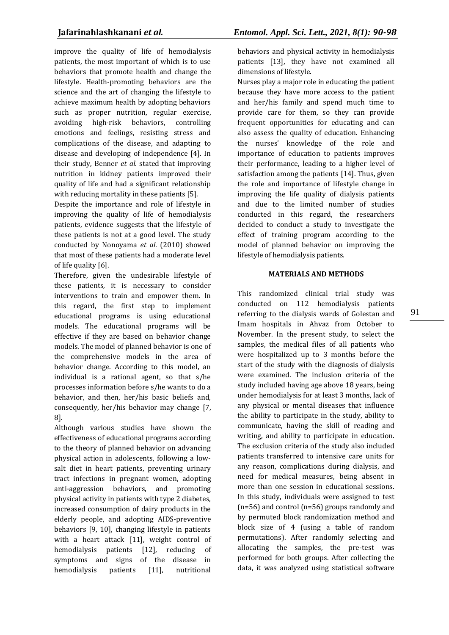improve the quality of life of hemodialysis patients, the most important of which is to use behaviors that promote health and change the lifestyle. Health-promoting behaviors are the science and the art of changing the lifestyle to achieve maximum health by adopting behaviors such as proper nutrition, regular exercise, avoiding high-risk behaviors, controlling emotions and feelings, resisting stress and complications of the disease, and adapting to disease and developing of independence [4]. In their study, Benner *et al.* stated that improving nutrition in kidney patients improved their quality of life and had a significant relationship with reducing mortality in these patients [5].

Despite the importance and role of lifestyle in improving the quality of life of hemodialysis patients, evidence suggests that the lifestyle of these patients is not at a good level. The study conducted by Nonoyama *et al.* (2010) showed that most of these patients had a moderate level of life quality [6].

Therefore, given the undesirable lifestyle of these patients, it is necessary to consider interventions to train and empower them. In this regard, the first step to implement educational programs is using educational models. The educational programs will be effective if they are based on behavior change models. The model of planned behavior is one of the comprehensive models in the area of behavior change. According to this model, an individual is a rational agent, so that s/he processes information before s/he wants to do a behavior, and then, her/his basic beliefs and, consequently, her/his behavior may change [7, 8].

Although various studies have shown the effectiveness of educational programs according to the theory of planned behavior on advancing physical action in adolescents, following a lowsalt diet in heart patients, preventing urinary tract infections in pregnant women, adopting anti-aggression behaviors, and promoting physical activity in patients with type 2 diabetes, increased consumption of dairy products in the elderly people, and adopting AIDS-preventive behaviors [9, 10], changing lifestyle in patients with a heart attack [11], weight control of hemodialysis patients [12], reducing of symptoms and signs of the disease in hemodialysis patients [11], nutritional

behaviors and physical activity in hemodialysis patients [13], they have not examined all dimensions of lifestyle.

Nurses play a major role in educating the patient because they have more access to the patient and her/his family and spend much time to provide care for them, so they can provide frequent opportunities for educating and can also assess the quality of education. Enhancing the nurses' knowledge of the role and importance of education to patients improves their performance, leading to a higher level of satisfaction among the patients [14]. Thus, given the role and importance of lifestyle change in improving the life quality of dialysis patients and due to the limited number of studies conducted in this regard, the researchers decided to conduct a study to investigate the effect of training program according to the model of planned behavior on improving the lifestyle of hemodialysis patients.

## **MATERIALS AND METHODS**

This randomized clinical trial study was conducted on 112 hemodialysis patients referring to the dialysis wards of Golestan and Imam hospitals in Ahvaz from October to November. In the present study, to select the samples, the medical files of all patients who were hospitalized up to 3 months before the start of the study with the diagnosis of dialysis were examined. The inclusion criteria of the study included having age above 18 years, being under hemodialysis for at least 3 months, lack of any physical or mental diseases that influence the ability to participate in the study, ability to communicate, having the skill of reading and writing, and ability to participate in education. The exclusion criteria of the study also included patients transferred to intensive care units for any reason, complications during dialysis, and need for medical measures, being absent in more than one session in educational sessions. In this study, individuals were assigned to test (n=56) and control (n=56) groups randomly and by permuted block randomization method and block size of 4 (using a table of random permutations). After randomly selecting and allocating the samples, the pre-test was performed for both groups. After collecting the data, it was analyzed using statistical software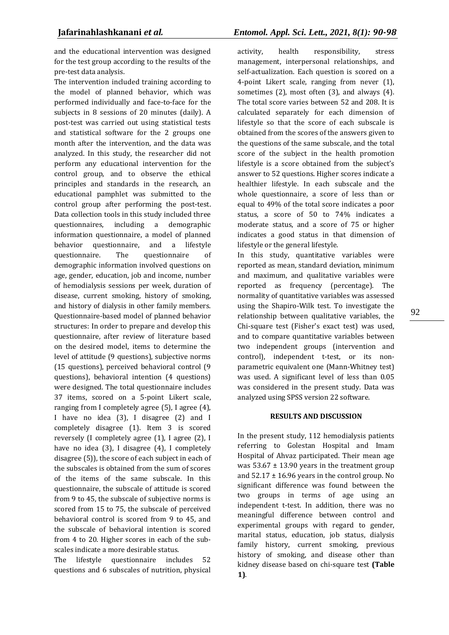and the educational intervention was designed for the test group according to the results of the pre-test data analysis.

The intervention included training according to the model of planned behavior, which was performed individually and face-to-face for the subjects in 8 sessions of 20 minutes (daily). A post-test was carried out using statistical tests and statistical software for the 2 groups one month after the intervention, and the data was analyzed. In this study, the researcher did not perform any educational intervention for the control group, and to observe the ethical principles and standards in the research, an educational pamphlet was submitted to the control group after performing the post-test. Data collection tools in this study included three questionnaires, including a demographic information questionnaire, a model of planned behavior questionnaire, and a lifestyle questionnaire. The questionnaire of demographic information involved questions on age, gender, education, job and income, number of hemodialysis sessions per week, duration of disease, current smoking, history of smoking, and history of dialysis in other family members. Questionnaire-based model of planned behavior structures: In order to prepare and develop this questionnaire, after review of literature based on the desired model, items to determine the level of attitude (9 questions), subjective norms (15 questions), perceived behavioral control (9 questions), behavioral intention (4 questions) were designed. The total questionnaire includes 37 items, scored on a 5-point Likert scale, ranging from I completely agree (5), I agree (4), I have no idea (3), I disagree (2) and I completely disagree (1). Item 3 is scored reversely (I completely agree (1), I agree (2), I have no idea (3), I disagree (4), I completely disagree (5)), the score of each subject in each of the subscales is obtained from the sum of scores of the items of the same subscale. In this questionnaire, the subscale of attitude is scored from 9 to 45, the subscale of subjective norms is scored from 15 to 75, the subscale of perceived behavioral control is scored from 9 to 45, and the subscale of behavioral intention is scored from 4 to 20. Higher scores in each of the subscales indicate a more desirable status.

The lifestyle questionnaire includes 52 questions and 6 subscales of nutrition, physical activity, health responsibility, stress management, interpersonal relationships, and self-actualization. Each question is scored on a 4-point Likert scale, ranging from never (1), sometimes (2), most often (3), and always (4). The total score varies between 52 and 208. It is calculated separately for each dimension of lifestyle so that the score of each subscale is obtained from the scores of the answers given to the questions of the same subscale, and the total score of the subject in the health promotion lifestyle is a score obtained from the subject's answer to 52 questions. Higher scores indicate a healthier lifestyle. In each subscale and the whole questionnaire, a score of less than or equal to 49% of the total score indicates a poor status, a score of 50 to 74% indicates a moderate status, and a score of 75 or higher indicates a good status in that dimension of lifestyle or the general lifestyle.

In this study, quantitative variables were reported as mean, standard deviation, minimum and maximum, and qualitative variables were reported as frequency (percentage). The normality of quantitative variables was assessed using the Shapiro-Wilk test. To investigate the relationship between qualitative variables, the Chi-square test (Fisher's exact test) was used, and to compare quantitative variables between two independent groups (intervention and control), independent t-test, or its nonparametric equivalent one (Mann-Whitney test) was used. A significant level of less than 0.05 was considered in the present study. Data was analyzed using SPSS version 22 software.

## **RESULTS AND DISCUSSION**

In the present study, 112 hemodialysis patients referring to Golestan Hospital and Imam Hospital of Ahvaz participated. Their mean age was  $53.67 \pm 13.90$  years in the treatment group and  $52.17 \pm 16.96$  years in the control group. No significant difference was found between the two groups in terms of age using an independent t-test. In addition, there was no meaningful difference between control and experimental groups with regard to gender, marital status, education, job status, dialysis family history, current smoking, previous history of smoking, and disease other than kidney disease based on chi-square test **(Table 1)**.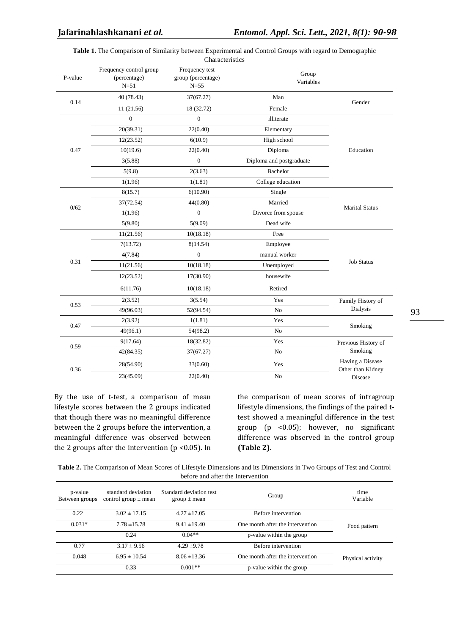| Table 1. The Comparison of Similarity between Experimental and Control Groups with regard to Demographic |  |  |  |  |  |  |  |  |
|----------------------------------------------------------------------------------------------------------|--|--|--|--|--|--|--|--|
|----------------------------------------------------------------------------------------------------------|--|--|--|--|--|--|--|--|

|         |                                                   | Characteristics                                  |                          |                                       |
|---------|---------------------------------------------------|--------------------------------------------------|--------------------------|---------------------------------------|
| P-value | Frequency control group<br>(percentage)<br>$N=51$ | Frequency test<br>group (percentage)<br>$N = 55$ | Group<br>Variables       |                                       |
| 0.14    | 40(78.43)                                         | 37(67.27)                                        | Man                      |                                       |
|         | 11 (21.56)                                        | 18 (32.72)                                       | Female                   | Gender                                |
|         | $\boldsymbol{0}$                                  | $\boldsymbol{0}$                                 | illiterate               |                                       |
|         | 20(39.31)                                         | 22(0.40)                                         | Elementary               |                                       |
|         | 12(23.52)                                         | 6(10.9)                                          | High school              |                                       |
| 0.47    | 10(19.6)                                          | 22(0.40)                                         | Diploma                  | Education                             |
|         | 3(5.88)                                           | $\boldsymbol{0}$                                 | Diploma and postgraduate |                                       |
|         | 5(9.8)                                            | 2(3.63)                                          | Bachelor                 |                                       |
|         | 1(1.96)                                           | 1(1.81)                                          | College education        |                                       |
|         | 8(15.7)                                           | 6(10.90)                                         | Single                   |                                       |
|         | 37(72.54)                                         | 44(0.80)                                         | Married                  | <b>Marital Status</b>                 |
| 0/62    | 1(1.96)                                           | $\boldsymbol{0}$                                 | Divorce from spouse      |                                       |
|         | 5(9.80)                                           | 5(9.09)                                          | Dead wife                |                                       |
|         | 11(21.56)                                         | 10(18.18)                                        | Free                     |                                       |
|         | 7(13.72)                                          | 8(14.54)                                         | Employee                 |                                       |
|         | 4(7.84)                                           | $\overline{0}$                                   | manual worker            |                                       |
| 0.31    | 11(21.56)                                         | 10(18.18)                                        | Unemployed               | <b>Job Status</b>                     |
|         | 12(23.52)                                         | 17(30.90)                                        | housewife                |                                       |
|         | 6(11.76)                                          | 10(18.18)                                        | Retired                  |                                       |
|         | 2(3.52)                                           | 3(5.54)                                          | Yes                      | Family History of                     |
| 0.53    | 49(96.03)                                         | 52(94.54)                                        | N <sub>o</sub>           | Dialysis                              |
| 0.47    | 2(3.92)                                           | 1(1.81)                                          | Yes                      |                                       |
|         | 49(96.1)                                          | 54(98.2)                                         | N <sub>o</sub>           | Smoking                               |
| 0.59    | 9(17.64)                                          | 18(32.82)                                        | Yes                      | Previous History of                   |
|         | 42(84.35)                                         | 37(67.27)                                        | No                       | Smoking                               |
| 0.36    | 28(54.90)                                         | 33(0.60)                                         | Yes                      | Having a Disease<br>Other than Kidney |
|         | 23(45.09)                                         | 22(0.40)                                         | No                       | Disease                               |

By the use of t-test, a comparison of mean lifestyle scores between the 2 groups indicated that though there was no meaningful difference between the 2 groups before the intervention, a meaningful difference was observed between the 2 groups after the intervention (p <0.05). In the comparison of mean scores of intragroup lifestyle dimensions, the findings of the paired ttest showed a meaningful difference in the test group (p <0.05); however, no significant difference was observed in the control group **(Table 2)**.

**Table 2.** The Comparison of Mean Scores of Lifestyle Dimensions and its Dimensions in Two Groups of Test and Control before and after the Intervention

| p-value<br>Between groups | standard deviation<br>control group $\pm$ mean | Standard deviation test<br>$group \pm mean$ | Group                            | time<br>Variable  |
|---------------------------|------------------------------------------------|---------------------------------------------|----------------------------------|-------------------|
| 0.22                      | $3.02 \pm 17.15$                               | $4.27 \pm 17.05$                            | Before intervention              |                   |
| $0.031*$                  | $7.78 + 15.78$                                 | $9.41 \pm 19.40$                            | One month after the intervention | Food pattern      |
|                           | 0.24                                           | $0.04**$                                    | p-value within the group         |                   |
| 0.77                      | $3.17 \pm 9.56$                                | $4.29 \pm 9.78$                             | Before intervention              |                   |
| 0.048                     | $6.95 \pm 10.54$                               | $8.06 \pm 13.36$                            | One month after the intervention | Physical activity |
|                           | 0.33                                           | $0.001**$                                   | p-value within the group         |                   |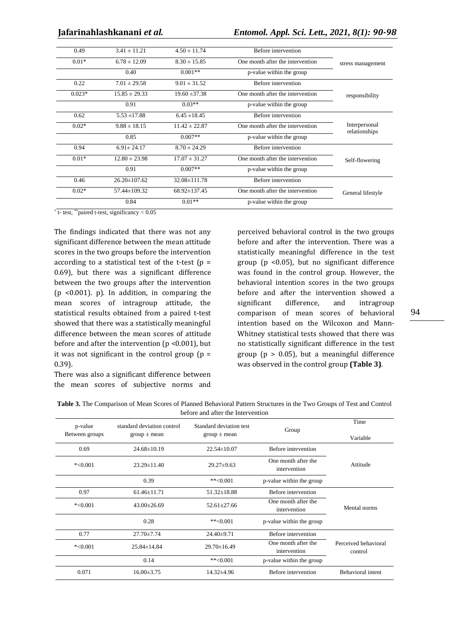| Before intervention              | $4.50 \pm 11.74$   | $3.41 \pm 11.21$   | 0.49     |
|----------------------------------|--------------------|--------------------|----------|
| One month after the intervention | $8.30 \pm 15.85$   | $6.78 \pm 12.09$   | $0.01*$  |
| p-value within the group         | $0.001**$          | 0.40               |          |
| Before intervention              | $9.01 \pm 31.52$   | $7.01 \pm 29.58$   | 0.22     |
| One month after the intervention | $19.60 \pm 37.38$  | $15.85 \pm 29.33$  | $0.023*$ |
| p-value within the group         | $0.03**$           | 0.91               |          |
| Before intervention              | $6.45 \pm 18.45$   | $5.53 \pm 17.88$   | 0.62     |
| One month after the intervention | $11.42 \pm 22.87$  | $9.88 \pm 18.15$   | $0.02*$  |
| p-value within the group         | $0.007**$          | 0.85               |          |
| Before intervention              | $8.70 \pm 24.29$   | $6.91 \pm 24.17$   | 0.94     |
| One month after the intervention | $17.07 \pm 31.27$  | $12.80 \pm 23.98$  | $0.01*$  |
| p-value within the group         | $0.007**$          | 0.91               |          |
| Before intervention              | 32.08±111.78       | $26.20 \pm 107.62$ | 0.46     |
| One month after the intervention | $68.92 \pm 137.45$ | 57.44±109.32       | $0.02*$  |
| p-value within the group         | $0.01**$           | 0.84               |          |
|                                  |                    |                    |          |

\* t- test, \*\*paired t-test, significancy < 0.05

The findings indicated that there was not any significant difference between the mean attitude scores in the two groups before the intervention according to a statistical test of the t-test  $(p =$ 0.69), but there was a significant difference between the two groups after the intervention (p <0.001). p). In addition, in comparing the mean scores of intragroup attitude, the statistical results obtained from a paired t-test showed that there was a statistically meaningful difference between the mean scores of attitude before and after the intervention ( $p < 0.001$ ), but it was not significant in the control group  $(p =$ 0.39).

There was also a significant difference between the mean scores of subjective norms and

perceived behavioral control in the two groups before and after the intervention. There was a statistically meaningful difference in the test group ( $p \leq 0.05$ ), but no significant difference was found in the control group. However, the behavioral intention scores in the two groups before and after the intervention showed a significant difference, and intragroup comparison of mean scores of behavioral intention based on the Wilcoxon and Mann-Whitney statistical tests showed that there was no statistically significant difference in the test group ( $p > 0.05$ ), but a meaningful difference was observed in the control group **(Table 3)**.

| <b>Table 3.</b> The Comparison of Mean Scores of Planned Behavioral Pattern Structures in the Two Groups of Test and Control |
|------------------------------------------------------------------------------------------------------------------------------|
| before and after the Intervention                                                                                            |

| p-value<br>Between groups | standard deviation control<br>$group \pm mean$ | Standard deviation test<br>$group \pm mean$ | Group                               | Time<br>Variable                |
|---------------------------|------------------------------------------------|---------------------------------------------|-------------------------------------|---------------------------------|
| 0.69                      | $24.68 \pm 10.19$                              | $22.54 \pm 10.07$                           | Before intervention                 |                                 |
| $*<0.001$                 | $23.29 \pm 11.40$                              | $29.27 \pm 9.63$                            | One month after the<br>intervention | Attitude                        |
|                           | 0.39                                           | $*$ $<$ 0.001                               | p-value within the group            |                                 |
| 0.97                      | $61.46 \pm 11.71$                              | $51.32 \pm 18.88$                           | Before intervention                 |                                 |
| $*<0.001$                 | $43.00 \pm 26.69$                              | $52.61 \pm 27.66$                           | One month after the<br>intervention | Mental norms                    |
|                           | 0.28                                           | $*$ $<$ 0.001                               | p-value within the group            |                                 |
| 0.77                      | $27.70 \pm 7.74$                               | $24.40\pm9.71$                              | Before intervention                 |                                 |
| $*<0.001$                 | 25.84±14.84                                    | $29.70 \pm 16.49$                           | One month after the<br>intervention | Perceived behavioral<br>control |
|                           | 0.14                                           | $*$ $<$ 0.001                               | p-value within the group            |                                 |
| 0.071                     | $16.00\pm3.75$                                 | 14.32±4.96                                  | Before intervention                 | <b>Behavioral</b> intent        |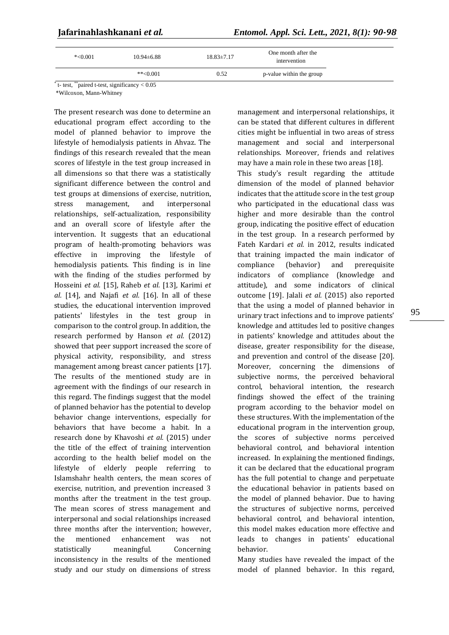| $*<0.001$ | $10.94 \pm 6.88$ | $18.83 \pm 7.17$ | One month after the<br>intervention |
|-----------|------------------|------------------|-------------------------------------|
|           | $*$ $< 0.001$    | 0.52             | p-value within the group            |

t- test, \*\*paired t-test, significancy < 0.05

\*Wilcoxon, Mann-Whitney

The present research was done to determine an educational program effect according to the model of planned behavior to improve the lifestyle of hemodialysis patients in Ahvaz. The findings of this research revealed that the mean scores of lifestyle in the test group increased in all dimensions so that there was a statistically significant difference between the control and test groups at dimensions of exercise, nutrition, stress management, and interpersonal relationships, self-actualization, responsibility and an overall score of lifestyle after the intervention. It suggests that an educational program of health-promoting behaviors was effective in improving the lifestyle of hemodialysis patients. This finding is in line with the finding of the studies performed by Hosseini *et al.* [15], Raheb *et al.* [13], Karimi *et al.* [14], and Najafi *et al.* [16]. In all of these studies, the educational intervention improved patients' lifestyles in the test group in comparison to the control group. In addition, the research performed by Hanson *et al.* (2012) showed that peer support increased the score of physical activity, responsibility, and stress management among breast cancer patients [17]. The results of the mentioned study are in agreement with the findings of our research in this regard. The findings suggest that the model of planned behavior has the potential to develop behavior change interventions, especially for behaviors that have become a habit. In a research done by Khavoshi *et al.* (2015) under the title of the effect of training intervention according to the health belief model on the lifestyle of elderly people referring to Islamshahr health centers, the mean scores of exercise, nutrition, and prevention increased 3 months after the treatment in the test group. The mean scores of stress management and interpersonal and social relationships increased three months after the intervention; however, the mentioned enhancement was not statistically meaningful. Concerning inconsistency in the results of the mentioned study and our study on dimensions of stress

management and interpersonal relationships, it can be stated that different cultures in different cities might be influential in two areas of stress management and social and interpersonal relationships. Moreover, friends and relatives may have a main role in these two areas [18]. This study's result regarding the attitude dimension of the model of planned behavior indicates that the attitude score in the test group who participated in the educational class was higher and more desirable than the control group, indicating the positive effect of education

in the test group. In a research performed by Fateh Kardari *et al.* in 2012, results indicated that training impacted the main indicator of compliance (behavior) and prerequisite indicators of compliance (knowledge and attitude), and some indicators of clinical outcome [19]. Jalali *et al.* (2015) also reported that the using a model of planned behavior in urinary tract infections and to improve patients' knowledge and attitudes led to positive changes in patients' knowledge and attitudes about the disease, greater responsibility for the disease, and prevention and control of the disease [20]. Moreover, concerning the dimensions of subjective norms, the perceived behavioral control, behavioral intention, the research findings showed the effect of the training program according to the behavior model on these structures. With the implementation of the educational program in the intervention group, the scores of subjective norms perceived behavioral control, and behavioral intention increased. In explaining the mentioned findings, it can be declared that the educational program has the full potential to change and perpetuate the educational behavior in patients based on the model of planned behavior. Due to having the structures of subjective norms, perceived behavioral control, and behavioral intention, this model makes education more effective and leads to changes in patients' educational behavior.

Many studies have revealed the impact of the model of planned behavior. In this regard,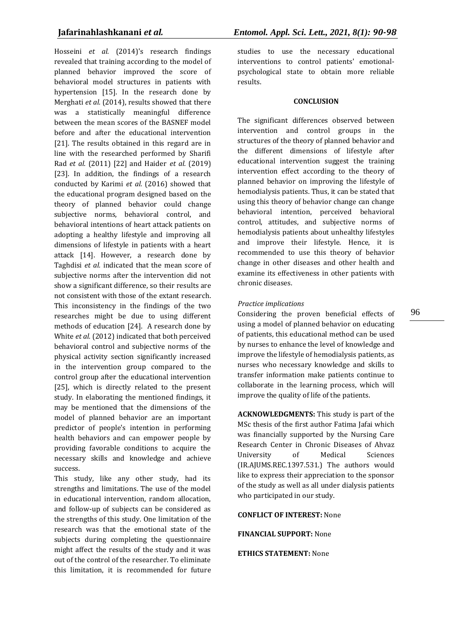Hosseini *et al.* (2014)'s research findings revealed that training according to the model of planned behavior improved the score of behavioral model structures in patients with hypertension [15]. In the research done by Merghati *et al.* (2014), results showed that there was a statistically meaningful difference between the mean scores of the BASNEF model before and after the educational intervention [21]. The results obtained in this regard are in line with the researched performed by Sharifi Rad *et al.* (2011) [22] and Haider *et al.* (2019) [23]. In addition, the findings of a research conducted by Karimi *et al.* (2016) showed that the educational program designed based on the theory of planned behavior could change subjective norms, behavioral control, and behavioral intentions of heart attack patients on adopting a healthy lifestyle and improving all dimensions of lifestyle in patients with a heart attack [14]. However, a research done by Taghdisi *et al.* indicated that the mean score of subjective norms after the intervention did not show a significant difference, so their results are not consistent with those of the extant research. This inconsistency in the findings of the two researches might be due to using different methods of education [24]. A research done by White *et al.* (2012) indicated that both perceived behavioral control and subjective norms of the physical activity section significantly increased in the intervention group compared to the control group after the educational intervention [25], which is directly related to the present study. In elaborating the mentioned findings, it may be mentioned that the dimensions of the model of planned behavior are an important predictor of people's intention in performing health behaviors and can empower people by providing favorable conditions to acquire the necessary skills and knowledge and achieve success.

This study, like any other study, had its strengths and limitations. The use of the model in educational intervention, random allocation, and follow-up of subjects can be considered as the strengths of this study. One limitation of the research was that the emotional state of the subjects during completing the questionnaire might affect the results of the study and it was out of the control of the researcher. To eliminate this limitation, it is recommended for future

studies to use the necessary educational interventions to control patients' emotionalpsychological state to obtain more reliable results.

#### **CONCLUSION**

The significant differences observed between intervention and control groups in the structures of the theory of planned behavior and the different dimensions of lifestyle after educational intervention suggest the training intervention effect according to the theory of planned behavior on improving the lifestyle of hemodialysis patients. Thus, it can be stated that using this theory of behavior change can change behavioral intention, perceived behavioral control, attitudes, and subjective norms of hemodialysis patients about unhealthy lifestyles and improve their lifestyle. Hence, it is recommended to use this theory of behavior change in other diseases and other health and examine its effectiveness in other patients with chronic diseases.

#### *Practice implications*

Considering the proven beneficial effects of using a model of planned behavior on educating of patients, this educational method can be used by nurses to enhance the level of knowledge and improve the lifestyle of hemodialysis patients, as nurses who necessary knowledge and skills to transfer information make patients continue to collaborate in the learning process, which will improve the quality of life of the patients.

**ACKNOWLEDGMENTS:** This study is part of the MSc thesis of the first author Fatima Jafai which was financially supported by the Nursing Care Research Center in Chronic Diseases of Ahvaz University of Medical Sciences (IR.AJUMS.REC.1397.531.) The authors would like to express their appreciation to the sponsor of the study as well as all under dialysis patients who participated in our study.

#### **CONFLICT OF INTEREST:** None

**FINANCIAL SUPPORT:** None

#### **ETHICS STATEMENT:** None

96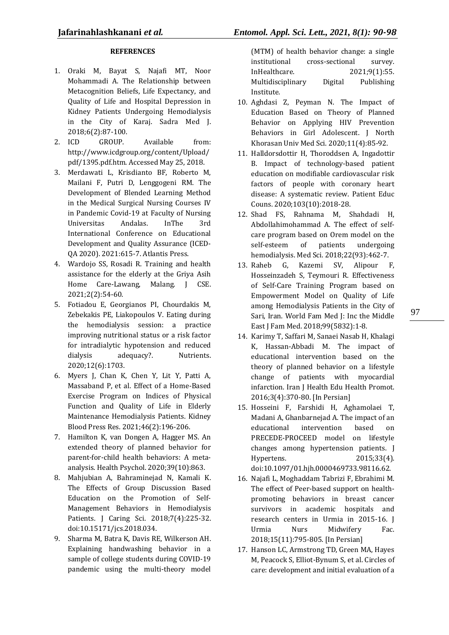## **REFERENCES**

- 1. Oraki M, Bayat S, Najafi MT, Noor Mohammadi A. The Relationship between Metacognition Beliefs, Life Expectancy, and Quality of Life and Hospital Depression in Kidney Patients Undergoing Hemodialysis in the City of Karaj. Sadra Med J. 2018;6(2):87-100.
- 2. ICD GROUP. Available from: http://www.icdgroup.org/content/Upload/ pdf/1395.pdf.htm. Accessed May 25, 2018.
- 3. Merdawati L, Krisdianto BF, Roberto M, Mailani F, Putri D, Lenggogeni RM. The Development of Blended Learning Method in the Medical Surgical Nursing Courses IV in Pandemic Covid-19 at Faculty of Nursing Universitas Andalas. InThe 3rd International Conference on Educational Development and Quality Assurance (ICED-QA 2020). 2021:615-7. Atlantis Press.
- 4. Wardojo SS, Rosadi R. Training and health assistance for the elderly at the Griya Asih Home Care-Lawang, Malang. J CSE. 2021;2(2):54-60.
- 5. Fotiadou E, Georgianos PI, Chourdakis M, Zebekakis PE, Liakopoulos V. Eating during the hemodialysis session: a practice improving nutritional status or a risk factor for intradialytic hypotension and reduced dialysis adequacy?. Nutrients. 2020;12(6):1703.
- 6. Myers J, Chan K, Chen Y, Lit Y, Patti A, Massaband P, et al. Effect of a Home-Based Exercise Program on Indices of Physical Function and Quality of Life in Elderly Maintenance Hemodialysis Patients. Kidney Blood Press Res. 2021;46(2):196-206.
- 7. Hamilton K, van Dongen A, Hagger MS. An extended theory of planned behavior for parent-for-child health behaviors: A metaanalysis. Health Psychol. 2020;39(10):863.
- 8. Mahjubian A, Bahraminejad N, Kamali K. The Effects of Group Discussion Based Education on the Promotion of Self-Management Behaviors in Hemodialysis Patients. J Caring Sci. 2018;7(4):225-32. doi:10.15171/jcs.2018.034.
- 9. Sharma M, Batra K, Davis RE, Wilkerson AH. Explaining handwashing behavior in a sample of college students during COVID-19 pandemic using the multi-theory model

(MTM) of health behavior change: a single institutional cross-sectional survey. InHealthcare. 2021;9(1):55. Multidisciplinary Digital Publishing Institute.

- 10. Aghdasi Z, Peyman N. The Impact of Education Based on Theory of Planned Behavior on Applying HIV Prevention Behaviors in Girl Adolescent. J North Khorasan Univ Med Sci. 2020;11(4):85-92.
- 11. Halldorsdottir H, Thoroddsen A, Ingadottir B. Impact of technology-based patient education on modifiable cardiovascular risk factors of people with coronary heart disease: A systematic review. Patient Educ Couns. 2020;103(10):2018-28.
- 12. Shad FS, Rahnama M, Shahdadi H, Abdollahimohammad A. The effect of selfcare program based on Orem model on the self-esteem of patients undergoing hemodialysis. Med Sci. 2018;22(93):462-7.
- 13. Raheb G, Kazemi SV, Alipour F, Hosseinzadeh S, Teymouri R. Effectiveness of Self-Care Training Program based on Empowerment Model on Quality of Life among Hemodialysis Patients in the City of Sari, Iran. World Fam Med J: Inc the Middle East J Fam Med. 2018;99(5832):1-8.
- 14. Karimy T, Saffari M, Sanaei Nasab H, Khalagi K, Hassan-Abbadi M. The impact of educational intervention based on the theory of planned behavior on a lifestyle change of patients with myocardial infarction. Iran J Health Edu Health Promot. 2016;3(4):370-80. [In Persian]
- 15. Hosseini F, Farshidi H, Aghamolaei T, Madani A, Ghanbarnejad A. The impact of an educational intervention based on PRECEDE-PROCEED model on lifestyle changes among hypertension patients. J Hypertens. 2015;33(4). doi:10.1097/01.hjh.0000469733.98116.62.
- 16. Najafi L, Moghaddam Tabrizi F, Ebrahimi M. The effect of Peer-based support on healthpromoting behaviors in breast cancer survivors in academic hospitals and research centers in Urmia in 2015-16. J Urmia Nurs Midwifery Fac. 2018;15(11):795-805. [In Persian]
- 17. Hanson LC, Armstrong TD, Green MA, Hayes M, Peacock S, Elliot-Bynum S, et al. Circles of care: development and initial evaluation of a

97